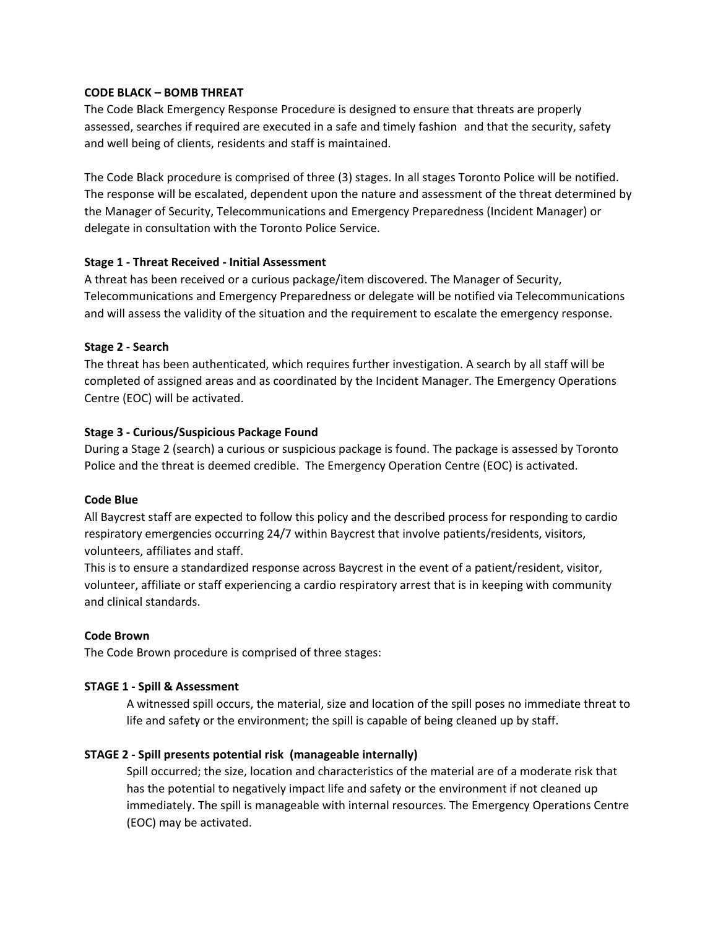## **CODE BLACK – BOMB THREAT**

The Code Black Emergency Response Procedure is designed to ensure that threats are properly assessed, searches if required are executed in a safe and timely fashion and that the security, safety and well being of clients, residents and staff is maintained.

The Code Black procedure is comprised of three (3) stages. In all stages Toronto Police will be notified. The response will be escalated, dependent upon the nature and assessment of the threat determined by the Manager of Security, Telecommunications and Emergency Preparedness (Incident Manager) or delegate in consultation with the Toronto Police Service.

## **Stage 1 - Threat Received - Initial Assessment**

A threat has been received or a curious package/item discovered. The Manager of Security, Telecommunications and Emergency Preparedness or delegate will be notified via Telecommunications and will assess the validity of the situation and the requirement to escalate the emergency response.

## **Stage 2 - Search**

The threat has been authenticated, which requires further investigation. A search by all staff will be completed of assigned areas and as coordinated by the Incident Manager. The Emergency Operations Centre (EOC) will be activated.

## **Stage 3 - Curious/Suspicious Package Found**

During a Stage 2 (search) a curious or suspicious package is found. The package is assessed by Toronto Police and the threat is deemed credible. The Emergency Operation Centre (EOC) is activated.

## **Code Blue**

All Baycrest staff are expected to follow this policy and the described process for responding to cardio respiratory emergencies occurring 24/7 within Baycrest that involve patients/residents, visitors, volunteers, affiliates and staff.

This is to ensure a standardized response across Baycrest in the event of a patient/resident, visitor, volunteer, affiliate or staff experiencing a cardio respiratory arrest that is in keeping with community and clinical standards.

## **Code Brown**

The Code Brown procedure is comprised of three stages:

## **STAGE 1 - Spill & Assessment**

A witnessed spill occurs, the material, size and location of the spill poses no immediate threat to life and safety or the environment; the spill is capable of being cleaned up by staff.

# **STAGE 2 - Spill presents potential risk (manageable internally)**

Spill occurred; the size, location and characteristics of the material are of a moderate risk that has the potential to negatively impact life and safety or the environment if not cleaned up immediately. The spill is manageable with internal resources. The Emergency Operations Centre (EOC) may be activated.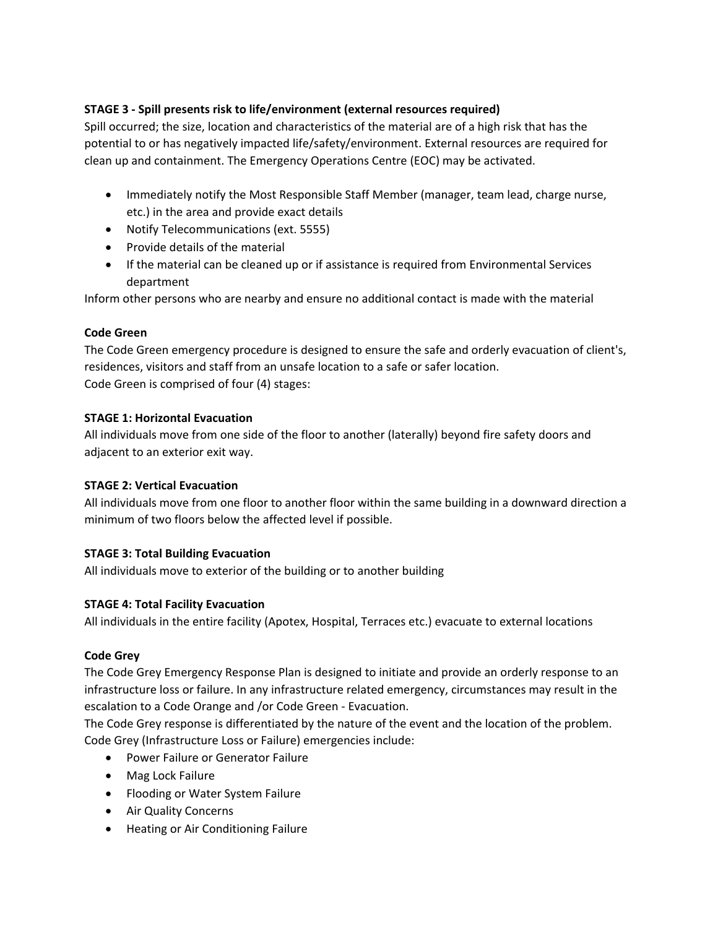# **STAGE 3 - Spill presents risk to life/environment (external resources required)**

Spill occurred; the size, location and characteristics of the material are of a high risk that has the potential to or has negatively impacted life/safety/environment. External resources are required for clean up and containment. The Emergency Operations Centre (EOC) may be activated.

- Immediately notify the Most Responsible Staff Member (manager, team lead, charge nurse, etc.) in the area and provide exact details
- Notify Telecommunications (ext. 5555)
- Provide details of the material
- If the material can be cleaned up or if assistance is required from Environmental Services department

Inform other persons who are nearby and ensure no additional contact is made with the material

## **Code Green**

The Code Green emergency procedure is designed to ensure the safe and orderly evacuation of client's, residences, visitors and staff from an unsafe location to a safe or safer location. Code Green is comprised of four (4) stages:

## **STAGE 1: Horizontal Evacuation**

All individuals move from one side of the floor to another (laterally) beyond fire safety doors and adjacent to an exterior exit way.

## **STAGE 2: Vertical Evacuation**

All individuals move from one floor to another floor within the same building in a downward direction a minimum of two floors below the affected level if possible.

# **STAGE 3: Total Building Evacuation**

All individuals move to exterior of the building or to another building

## **STAGE 4: Total Facility Evacuation**

All individuals in the entire facility (Apotex, Hospital, Terraces etc.) evacuate to external locations

## **Code Grey**

The Code Grey Emergency Response Plan is designed to initiate and provide an orderly response to an infrastructure loss or failure. In any infrastructure related emergency, circumstances may result in the escalation to a Code Orange and /or Code Green - Evacuation.

The Code Grey response is differentiated by the nature of the event and the location of the problem. Code Grey (Infrastructure Loss or Failure) emergencies include:

- Power Failure or Generator Failure
- Mag Lock Failure
- Flooding or Water System Failure
- Air Quality Concerns
- Heating or Air Conditioning Failure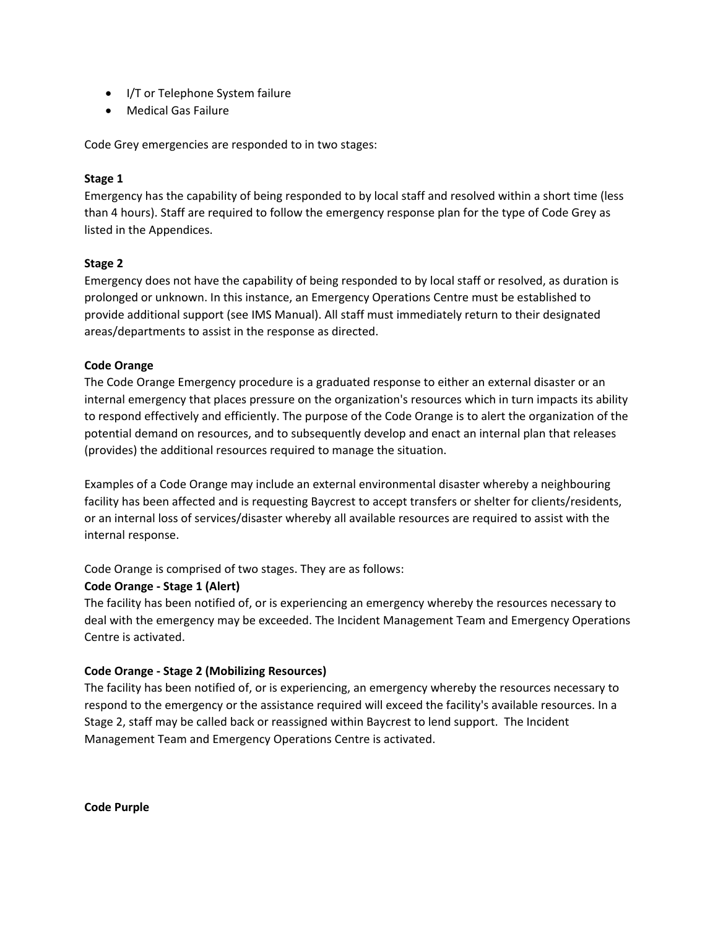- I/T or Telephone System failure
- Medical Gas Failure

Code Grey emergencies are responded to in two stages:

### **Stage 1**

Emergency has the capability of being responded to by local staff and resolved within a short time (less than 4 hours). Staff are required to follow the emergency response plan for the type of Code Grey as listed in the Appendices.

## **Stage 2**

Emergency does not have the capability of being responded to by local staff or resolved, as duration is prolonged or unknown. In this instance, an Emergency Operations Centre must be established to provide additional support (see IMS Manual). All staff must immediately return to their designated areas/departments to assist in the response as directed.

#### **Code Orange**

The Code Orange Emergency procedure is a graduated response to either an external disaster or an internal emergency that places pressure on the organization's resources which in turn impacts its ability to respond effectively and efficiently. The purpose of the Code Orange is to alert the organization of the potential demand on resources, and to subsequently develop and enact an internal plan that releases (provides) the additional resources required to manage the situation.

Examples of a Code Orange may include an external environmental disaster whereby a neighbouring facility has been affected and is requesting Baycrest to accept transfers or shelter for clients/residents, or an internal loss of services/disaster whereby all available resources are required to assist with the internal response.

Code Orange is comprised of two stages. They are as follows:

#### **Code Orange - Stage 1 (Alert)**

The facility has been notified of, or is experiencing an emergency whereby the resources necessary to deal with the emergency may be exceeded. The Incident Management Team and Emergency Operations Centre is activated.

## **Code Orange - Stage 2 (Mobilizing Resources)**

The facility has been notified of, or is experiencing, an emergency whereby the resources necessary to respond to the emergency or the assistance required will exceed the facility's available resources. In a Stage 2, staff may be called back or reassigned within Baycrest to lend support. The Incident Management Team and Emergency Operations Centre is activated.

**Code Purple**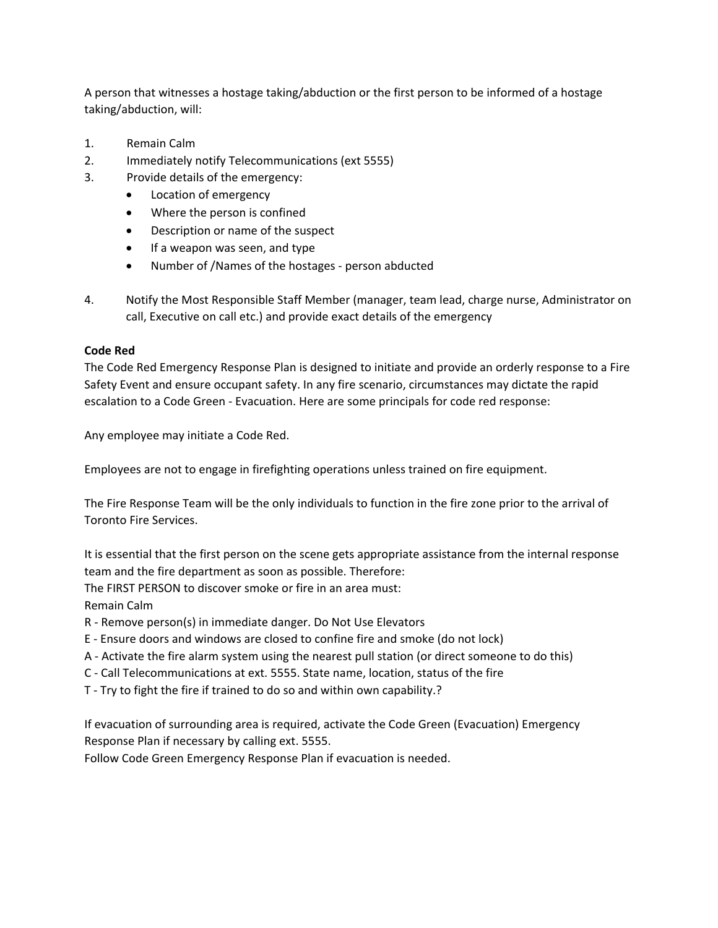A person that witnesses a hostage taking/abduction or the first person to be informed of a hostage taking/abduction, will:

- 1. Remain Calm
- 2. Immediately notify Telecommunications (ext 5555)
- 3. Provide details of the emergency:
	- Location of emergency
	- Where the person is confined
	- Description or name of the suspect
	- If a weapon was seen, and type
	- Number of /Names of the hostages person abducted
- 4. Notify the Most Responsible Staff Member (manager, team lead, charge nurse, Administrator on call, Executive on call etc.) and provide exact details of the emergency

#### **Code Red**

The Code Red Emergency Response Plan is designed to initiate and provide an orderly response to a Fire Safety Event and ensure occupant safety. In any fire scenario, circumstances may dictate the rapid escalation to a Code Green - Evacuation. Here are some principals for code red response:

Any employee may initiate a Code Red.

Employees are not to engage in firefighting operations unless trained on fire equipment.

The Fire Response Team will be the only individuals to function in the fire zone prior to the arrival of Toronto Fire Services.

It is essential that the first person on the scene gets appropriate assistance from the internal response team and the fire department as soon as possible. Therefore: The FIRST PERSON to discover smoke or fire in an area must: Remain Calm

R - Remove person(s) in immediate danger. Do Not Use Elevators

- E Ensure doors and windows are closed to confine fire and smoke (do not lock)
- A Activate the fire alarm system using the nearest pull station (or direct someone to do this)
- C Call Telecommunications at ext. 5555. State name, location, status of the fire
- T Try to fight the fire if trained to do so and within own capability.?

If evacuation of surrounding area is required, activate the Code Green (Evacuation) Emergency Response Plan if necessary by calling ext. 5555.

Follow Code Green Emergency Response Plan if evacuation is needed.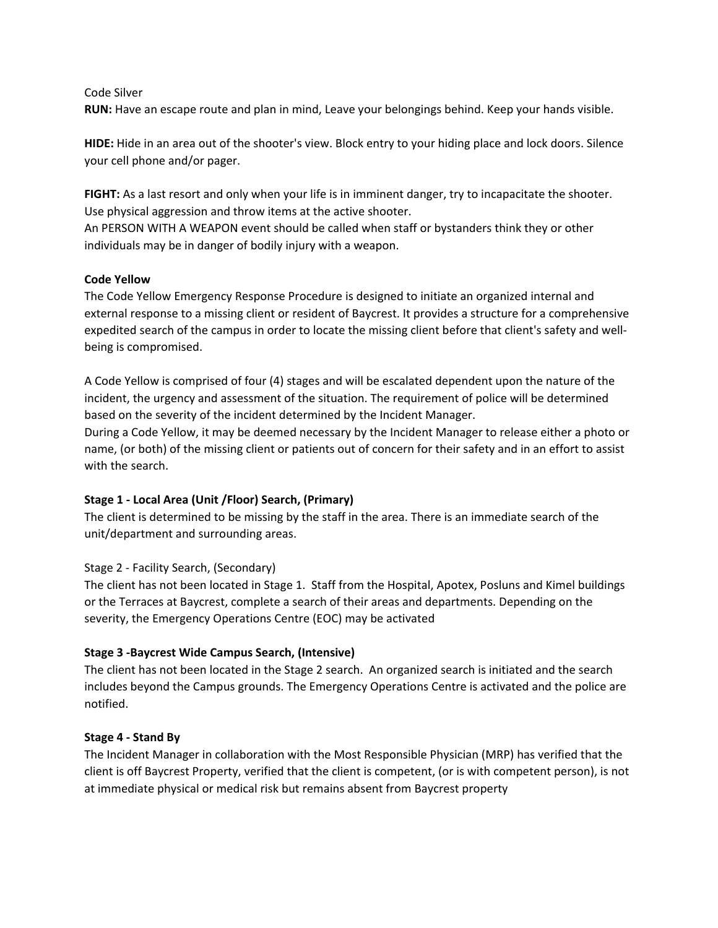#### Code Silver

**RUN:** Have an escape route and plan in mind, Leave your belongings behind. Keep your hands visible.

**HIDE:** Hide in an area out of the shooter's view. Block entry to your hiding place and lock doors. Silence your cell phone and/or pager.

**FIGHT:** As a last resort and only when your life is in imminent danger, try to incapacitate the shooter. Use physical aggression and throw items at the active shooter.

An PERSON WITH A WEAPON event should be called when staff or bystanders think they or other individuals may be in danger of bodily injury with a weapon.

## **Code Yellow**

The Code Yellow Emergency Response Procedure is designed to initiate an organized internal and external response to a missing client or resident of Baycrest. It provides a structure for a comprehensive expedited search of the campus in order to locate the missing client before that client's safety and wellbeing is compromised.

A Code Yellow is comprised of four (4) stages and will be escalated dependent upon the nature of the incident, the urgency and assessment of the situation. The requirement of police will be determined based on the severity of the incident determined by the Incident Manager.

During a Code Yellow, it may be deemed necessary by the Incident Manager to release either a photo or name, (or both) of the missing client or patients out of concern for their safety and in an effort to assist with the search.

## **Stage 1 - Local Area (Unit /Floor) Search, (Primary)**

The client is determined to be missing by the staff in the area. There is an immediate search of the unit/department and surrounding areas.

## Stage 2 - Facility Search, (Secondary)

The client has not been located in Stage 1. Staff from the Hospital, Apotex, Posluns and Kimel buildings or the Terraces at Baycrest, complete a search of their areas and departments. Depending on the severity, the Emergency Operations Centre (EOC) may be activated

## **Stage 3 -Baycrest Wide Campus Search, (Intensive)**

The client has not been located in the Stage 2 search. An organized search is initiated and the search includes beyond the Campus grounds. The Emergency Operations Centre is activated and the police are notified.

## **Stage 4 - Stand By**

The Incident Manager in collaboration with the Most Responsible Physician (MRP) has verified that the client is off Baycrest Property, verified that the client is competent, (or is with competent person), is not at immediate physical or medical risk but remains absent from Baycrest property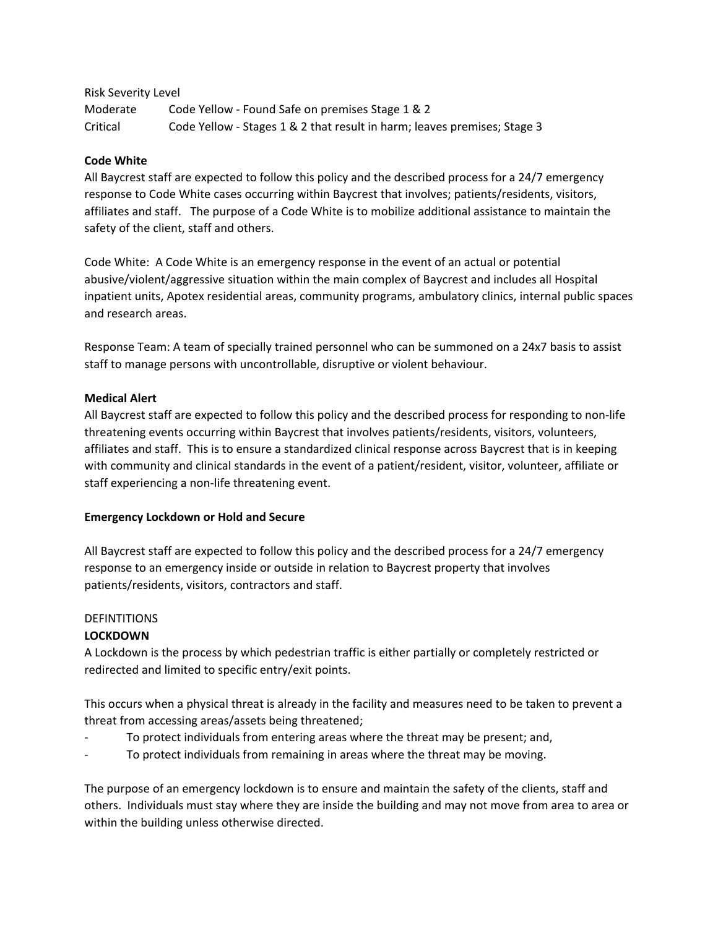## Risk Severity Level

Moderate Code Yellow - Found Safe on premises Stage 1 & 2 Critical Code Yellow - Stages 1 & 2 that result in harm; leaves premises; Stage 3

## **Code White**

All Baycrest staff are expected to follow this policy and the described process for a 24/7 emergency response to Code White cases occurring within Baycrest that involves; patients/residents, visitors, affiliates and staff. The purpose of a Code White is to mobilize additional assistance to maintain the safety of the client, staff and others.

Code White: A Code White is an emergency response in the event of an actual or potential abusive/violent/aggressive situation within the main complex of Baycrest and includes all Hospital inpatient units, Apotex residential areas, community programs, ambulatory clinics, internal public spaces and research areas.

Response Team: A team of specially trained personnel who can be summoned on a 24x7 basis to assist staff to manage persons with uncontrollable, disruptive or violent behaviour.

## **Medical Alert**

All Baycrest staff are expected to follow this policy and the described process for responding to non-life threatening events occurring within Baycrest that involves patients/residents, visitors, volunteers, affiliates and staff. This is to ensure a standardized clinical response across Baycrest that is in keeping with community and clinical standards in the event of a patient/resident, visitor, volunteer, affiliate or staff experiencing a non-life threatening event.

## **Emergency Lockdown or Hold and Secure**

All Baycrest staff are expected to follow this policy and the described process for a 24/7 emergency response to an emergency inside or outside in relation to Baycrest property that involves patients/residents, visitors, contractors and staff.

# **DEFINTITIONS**

# **LOCKDOWN**

A Lockdown is the process by which pedestrian traffic is either partially or completely restricted or redirected and limited to specific entry/exit points.

This occurs when a physical threat is already in the facility and measures need to be taken to prevent a threat from accessing areas/assets being threatened;

- To protect individuals from entering areas where the threat may be present; and,
- To protect individuals from remaining in areas where the threat may be moving.

The purpose of an emergency lockdown is to ensure and maintain the safety of the clients, staff and others. Individuals must stay where they are inside the building and may not move from area to area or within the building unless otherwise directed.